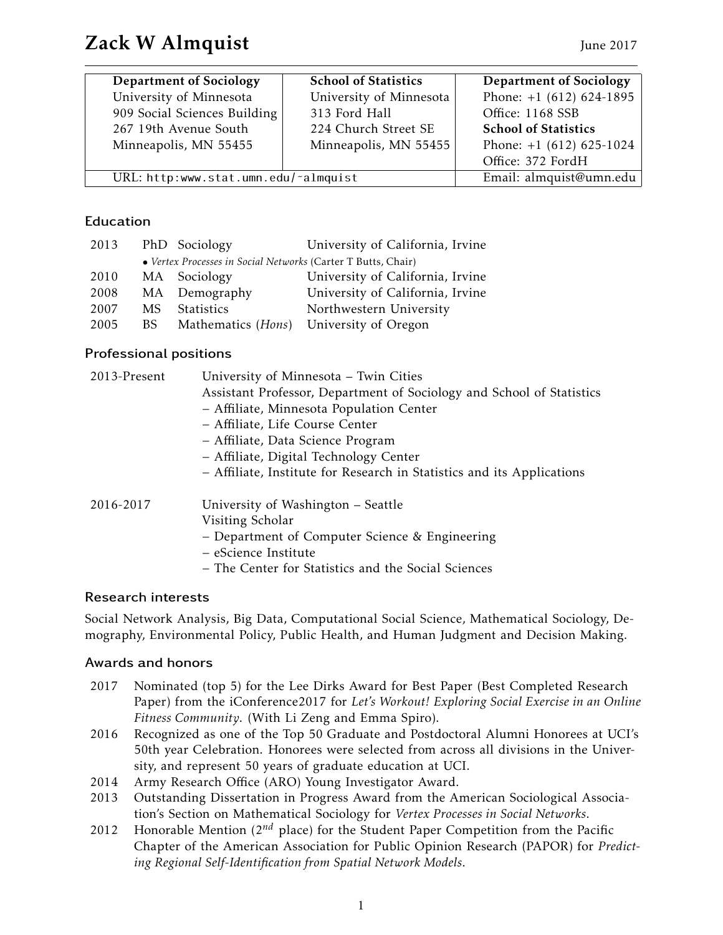| <b>Department of Sociology</b>       | <b>School of Statistics</b> | <b>Department of Sociology</b> |
|--------------------------------------|-----------------------------|--------------------------------|
| University of Minnesota              | University of Minnesota     | Phone: $+1$ (612) 624-1895     |
| 909 Social Sciences Building         | 313 Ford Hall               | Office: 1168 SSB               |
| 267 19th Avenue South                | 224 Church Street SE        | <b>School of Statistics</b>    |
| Minneapolis, MN 55455                | Minneapolis, MN 55455       | Phone: $+1$ (612) 625-1024     |
|                                      |                             | Office: 372 FordH              |
| URL: http:www.stat.umn.edu/~almquist |                             | Email: almquist@umn.edu        |

# Education

| 2013 |     | PhD Sociology                                                 | University of California, Irvine |
|------|-----|---------------------------------------------------------------|----------------------------------|
|      |     | • Vertex Processes in Social Networks (Carter T Butts, Chair) |                                  |
| 2010 |     | MA Sociology                                                  | University of California, Irvine |
| 2008 |     | MA Demography                                                 | University of California, Irvine |
| 2007 | MS. | <b>Statistics</b>                                             | Northwestern University          |
| 2005 | BS. | Mathematics ( <i>Hons</i> )                                   | University of Oregon             |

# Professional positions

| 2013-Present | University of Minnesota - Twin Cities                                                                                                                |  |  |
|--------------|------------------------------------------------------------------------------------------------------------------------------------------------------|--|--|
|              | Assistant Professor, Department of Sociology and School of Statistics<br>- Affiliate, Minnesota Population Center<br>- Affiliate, Life Course Center |  |  |
|              |                                                                                                                                                      |  |  |
|              |                                                                                                                                                      |  |  |
|              | - Affiliate, Data Science Program                                                                                                                    |  |  |
|              | - Affiliate, Digital Technology Center                                                                                                               |  |  |
|              | - Affiliate, Institute for Research in Statistics and its Applications                                                                               |  |  |
| 2016-2017    | University of Washington – Seattle                                                                                                                   |  |  |
|              | Visiting Scholar                                                                                                                                     |  |  |
|              | - Department of Computer Science & Engineering                                                                                                       |  |  |
|              | - eScience Institute                                                                                                                                 |  |  |
|              | - The Center for Statistics and the Social Sciences                                                                                                  |  |  |
|              |                                                                                                                                                      |  |  |

# Research interests

Social Network Analysis, Big Data, Computational Social Science, Mathematical Sociology, Demography, Environmental Policy, Public Health, and Human Judgment and Decision Making.

# Awards and honors

- 2017 Nominated (top 5) for the Lee Dirks Award for Best Paper (Best Completed Research Paper) from the iConference2017 for *Let's Workout! Exploring Social Exercise in an Online Fitness Community*. (With Li Zeng and Emma Spiro).
- 2016 Recognized as one of the Top 50 Graduate and Postdoctoral Alumni Honorees at UCI's 50th year Celebration. Honorees were selected from across all divisions in the University, and represent 50 years of graduate education at UCI.
- 2014 Army Research Office (ARO) Young Investigator Award.
- 2013 Outstanding Dissertation in Progress Award from the American Sociological Association's Section on Mathematical Sociology for *Vertex Processes in Social Networks*.
- 2012 Honorable Mention (2*nd* place) for the Student Paper Competition from the Pacific Chapter of the American Association for Public Opinion Research (PAPOR) for *Predicting Regional Self-Identification from Spatial Network Models*.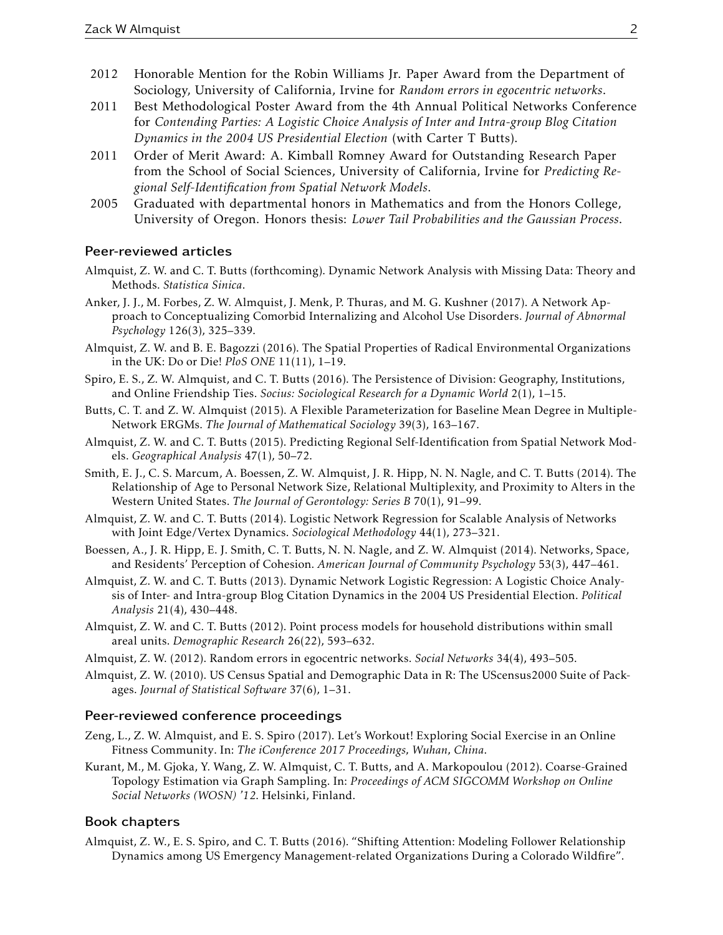- 2012 Honorable Mention for the Robin Williams Jr. Paper Award from the Department of Sociology, University of California, Irvine for *Random errors in egocentric networks*.
- 2011 Best Methodological Poster Award from the 4th Annual Political Networks Conference for *Contending Parties: A Logistic Choice Analysis of Inter and Intra-group Blog Citation Dynamics in the 2004 US Presidential Election* (with Carter T Butts).
- 2011 Order of Merit Award: A. Kimball Romney Award for Outstanding Research Paper from the School of Social Sciences, University of California, Irvine for *Predicting Regional Self-Identification from Spatial Network Models*.
- 2005 Graduated with departmental honors in Mathematics and from the Honors College, University of Oregon. Honors thesis: *Lower Tail Probabilities and the Gaussian Process*.

## Peer-reviewed articles

- Almquist, Z. W. and C. T. Butts (forthcoming). Dynamic Network Analysis with Missing Data: Theory and Methods. *Statistica Sinica*.
- Anker, J. J., M. Forbes, Z. W. Almquist, J. Menk, P. Thuras, and M. G. Kushner (2017). A Network Approach to Conceptualizing Comorbid Internalizing and Alcohol Use Disorders. *Journal of Abnormal Psychology* 126(3), 325–339.
- Almquist, Z. W. and B. E. Bagozzi (2016). The Spatial Properties of Radical Environmental Organizations in the UK: Do or Die! *PloS ONE* 11(11), 1–19.
- Spiro, E. S., Z. W. Almquist, and C. T. Butts (2016). The Persistence of Division: Geography, Institutions, and Online Friendship Ties. *Socius: Sociological Research for a Dynamic World* 2(1), 1–15.
- Butts, C. T. and Z. W. Almquist (2015). A Flexible Parameterization for Baseline Mean Degree in Multiple-Network ERGMs. *The Journal of Mathematical Sociology* 39(3), 163–167.
- Almquist, Z. W. and C. T. Butts (2015). Predicting Regional Self-Identification from Spatial Network Models. *Geographical Analysis* 47(1), 50–72.
- Smith, E. J., C. S. Marcum, A. Boessen, Z. W. Almquist, J. R. Hipp, N. N. Nagle, and C. T. Butts (2014). The Relationship of Age to Personal Network Size, Relational Multiplexity, and Proximity to Alters in the Western United States. *The Journal of Gerontology: Series B* 70(1), 91–99.
- Almquist, Z. W. and C. T. Butts (2014). Logistic Network Regression for Scalable Analysis of Networks with Joint Edge/Vertex Dynamics. *Sociological Methodology* 44(1), 273–321.
- Boessen, A., J. R. Hipp, E. J. Smith, C. T. Butts, N. N. Nagle, and Z. W. Almquist (2014). Networks, Space, and Residents' Perception of Cohesion. *American Journal of Community Psychology* 53(3), 447–461.
- Almquist, Z. W. and C. T. Butts (2013). Dynamic Network Logistic Regression: A Logistic Choice Analysis of Inter- and Intra-group Blog Citation Dynamics in the 2004 US Presidential Election. *Political Analysis* 21(4), 430–448.
- Almquist, Z. W. and C. T. Butts (2012). Point process models for household distributions within small areal units. *Demographic Research* 26(22), 593–632.
- Almquist, Z. W. (2012). Random errors in egocentric networks. *Social Networks* 34(4), 493–505.
- Almquist, Z. W. (2010). US Census Spatial and Demographic Data in R: The UScensus2000 Suite of Packages. *Journal of Statistical Software* 37(6), 1–31.

## Peer-reviewed conference proceedings

- Zeng, L., Z. W. Almquist, and E. S. Spiro (2017). Let's Workout! Exploring Social Exercise in an Online Fitness Community. In: *The iConference 2017 Proceedings, Wuhan, China*.
- Kurant, M., M. Gjoka, Y. Wang, Z. W. Almquist, C. T. Butts, and A. Markopoulou (2012). Coarse-Grained Topology Estimation via Graph Sampling. In: *Proceedings of ACM SIGCOMM Workshop on Online Social Networks (WOSN) '12*. Helsinki, Finland.

## Book chapters

Almquist, Z. W., E. S. Spiro, and C. T. Butts (2016). "Shifting Attention: Modeling Follower Relationship Dynamics among US Emergency Management-related Organizations During a Colorado Wildfire".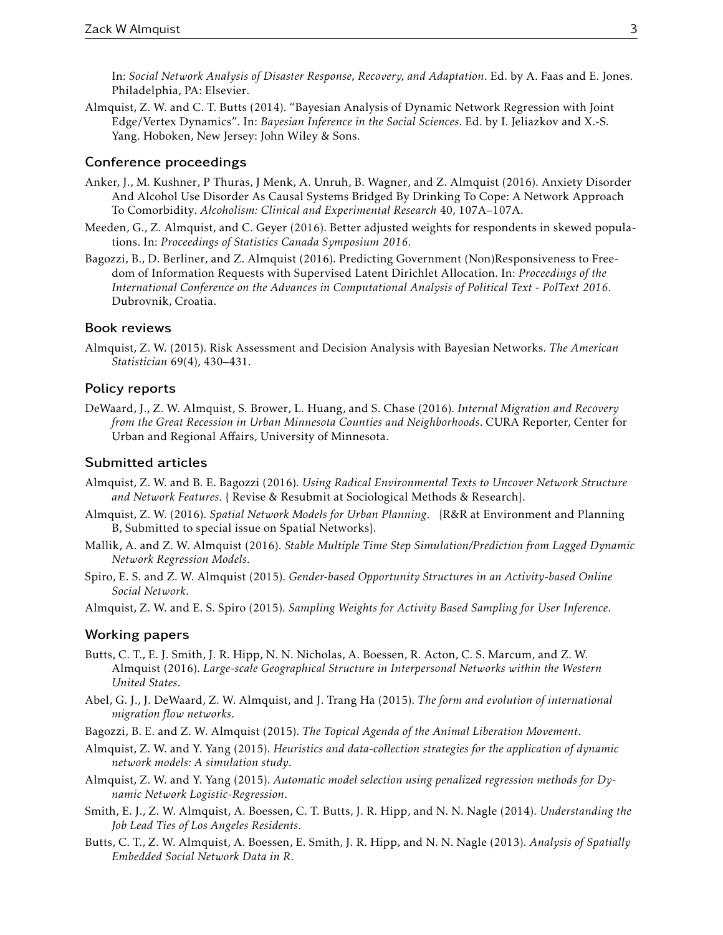In: *Social Network Analysis of Disaster Response, Recovery, and Adaptation*. Ed. by A. Faas and E. Jones. Philadelphia, PA: Elsevier.

Almquist, Z. W. and C. T. Butts (2014). "Bayesian Analysis of Dynamic Network Regression with Joint Edge/Vertex Dynamics". In: *Bayesian Inference in the Social Sciences*. Ed. by I. Jeliazkov and X.-S. Yang. Hoboken, New Jersey: John Wiley & Sons.

## Conference proceedings

- Anker, J., M. Kushner, P Thuras, J Menk, A. Unruh, B. Wagner, and Z. Almquist (2016). Anxiety Disorder And Alcohol Use Disorder As Causal Systems Bridged By Drinking To Cope: A Network Approach To Comorbidity. *Alcoholism: Clinical and Experimental Research* 40, 107A–107A.
- Meeden, G., Z. Almquist, and C. Geyer (2016). Better adjusted weights for respondents in skewed populations. In: *Proceedings of Statistics Canada Symposium 2016*.
- Bagozzi, B., D. Berliner, and Z. Almquist (2016). Predicting Government (Non)Responsiveness to Freedom of Information Requests with Supervised Latent Dirichlet Allocation. In: *Proceedings of the International Conference on the Advances in Computational Analysis of Political Text - PolText 2016*. Dubrovnik, Croatia.

## Book reviews

Almquist, Z. W. (2015). Risk Assessment and Decision Analysis with Bayesian Networks. *The American Statistician* 69(4), 430–431.

#### Policy reports

DeWaard, J., Z. W. Almquist, S. Brower, L. Huang, and S. Chase (2016). *Internal Migration and Recovery from the Great Recession in Urban Minnesota Counties and Neighborhoods*. CURA Reporter, Center for Urban and Regional Affairs, University of Minnesota.

### Submitted articles

- Almquist, Z. W. and B. E. Bagozzi (2016). *Using Radical Environmental Texts to Uncover Network Structure and Network Features*. { Revise & Resubmit at Sociological Methods & Research}.
- Almquist, Z. W. (2016). *Spatial Network Models for Urban Planning*. {R&R at Environment and Planning B, Submitted to special issue on Spatial Networks}.
- Mallik, A. and Z. W. Almquist (2016). *Stable Multiple Time Step Simulation/Prediction from Lagged Dynamic Network Regression Models*.
- Spiro, E. S. and Z. W. Almquist (2015). *Gender-based Opportunity Structures in an Activity-based Online Social Network*.

Almquist, Z. W. and E. S. Spiro (2015). *Sampling Weights for Activity Based Sampling for User Inference*.

## Working papers

- Butts, C. T., E. J. Smith, J. R. Hipp, N. N. Nicholas, A. Boessen, R. Acton, C. S. Marcum, and Z. W. Almquist (2016). *Large-scale Geographical Structure in Interpersonal Networks within the Western United States*.
- Abel, G. J., J. DeWaard, Z. W. Almquist, and J. Trang Ha (2015). *The form and evolution of international migration flow networks*.
- Bagozzi, B. E. and Z. W. Almquist (2015). *The Topical Agenda of the Animal Liberation Movement*.
- Almquist, Z. W. and Y. Yang (2015). *Heuristics and data-collection strategies for the application of dynamic network models: A simulation study*.
- Almquist, Z. W. and Y. Yang (2015). *Automatic model selection using penalized regression methods for Dynamic Network Logistic-Regression*.
- Smith, E. J., Z. W. Almquist, A. Boessen, C. T. Butts, J. R. Hipp, and N. N. Nagle (2014). *Understanding the Job Lead Ties of Los Angeles Residents*.
- Butts, C. T., Z. W. Almquist, A. Boessen, E. Smith, J. R. Hipp, and N. N. Nagle (2013). *Analysis of Spatially Embedded Social Network Data in R*.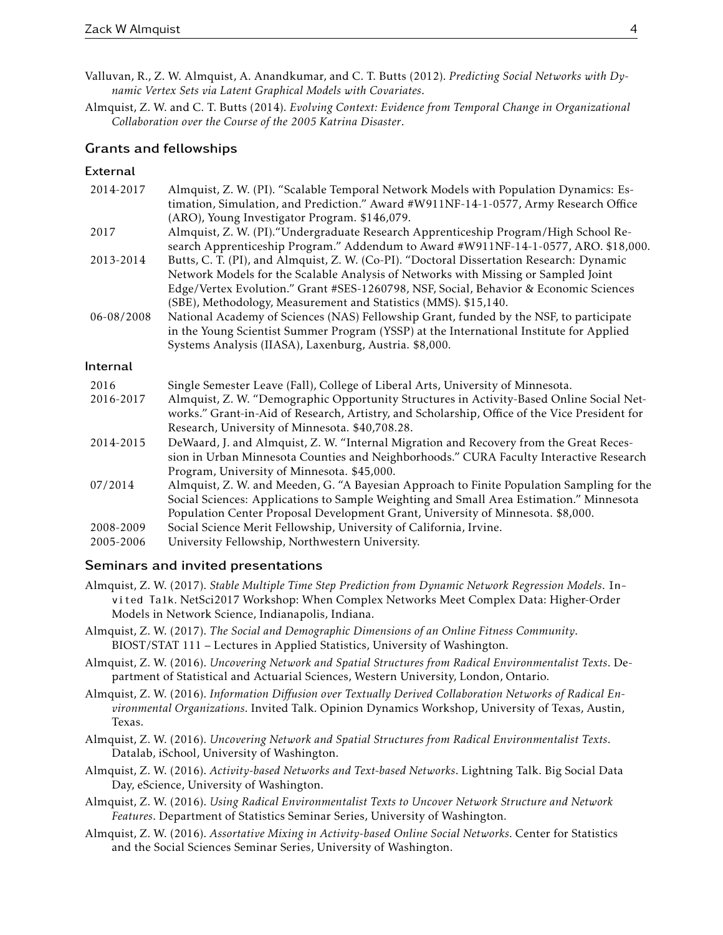- Valluvan, R., Z. W. Almquist, A. Anandkumar, and C. T. Butts (2012). *Predicting Social Networks with Dynamic Vertex Sets via Latent Graphical Models with Covariates*.
- Almquist, Z. W. and C. T. Butts (2014). *Evolving Context: Evidence from Temporal Change in Organizational Collaboration over the Course of the 2005 Katrina Disaster*.

### Grants and fellowships

#### External

| 2014-2017  | Almquist, Z. W. (PI). "Scalable Temporal Network Models with Population Dynamics: Es-                                                                                       |
|------------|-----------------------------------------------------------------------------------------------------------------------------------------------------------------------------|
|            | timation, Simulation, and Prediction." Award #W911NF-14-1-0577, Army Research Office                                                                                        |
|            | (ARO), Young Investigator Program. \$146,079.                                                                                                                               |
| 2017       | Almquist, Z. W. (PI). "Undergraduate Research Apprenticeship Program/High School Re-<br>search Apprenticeship Program." Addendum to Award #W911NF-14-1-0577, ARO. \$18,000. |
| 2013-2014  | Butts, C. T. (PI), and Almquist, Z. W. (Co-PI). "Doctoral Dissertation Research: Dynamic                                                                                    |
|            | Network Models for the Scalable Analysis of Networks with Missing or Sampled Joint                                                                                          |
|            | Edge/Vertex Evolution." Grant #SES-1260798, NSF, Social, Behavior & Economic Sciences                                                                                       |
|            | (SBE), Methodology, Measurement and Statistics (MMS). \$15,140.                                                                                                             |
| 06-08/2008 | National Academy of Sciences (NAS) Fellowship Grant, funded by the NSF, to participate                                                                                      |
|            | in the Young Scientist Summer Program (YSSP) at the International Institute for Applied                                                                                     |
|            | Systems Analysis (IIASA), Laxenburg, Austria. \$8,000.                                                                                                                      |
|            |                                                                                                                                                                             |
| Internal   |                                                                                                                                                                             |
| 2016       | Single Semester Leave (Fall), College of Liberal Arts, University of Minnesota.                                                                                             |
| 2016-2017  | Almquist, Z. W. "Demographic Opportunity Structures in Activity-Based Online Social Net-                                                                                    |
|            | works." Grant-in-Aid of Research, Artistry, and Scholarship, Office of the Vice President for                                                                               |
|            | Research, University of Minnesota. \$40,708.28.                                                                                                                             |
| 2014-2015  | DeWaard, J. and Almquist, Z. W. "Internal Migration and Recovery from the Great Reces-                                                                                      |
|            | sion in Urban Minnesota Counties and Neighborhoods." CURA Faculty Interactive Research                                                                                      |
|            | Program, University of Minnesota. \$45,000.                                                                                                                                 |
| 07/2014    | Almquist, Z. W. and Meeden, G. "A Bayesian Approach to Finite Population Sampling for the                                                                                   |
|            | Social Sciences: Applications to Sample Weighting and Small Area Estimation." Minnesota                                                                                     |
|            | Population Center Proposal Development Grant, University of Minnesota. \$8,000.                                                                                             |
| 2008-2009  | Social Science Merit Fellowship, University of California, Irvine.                                                                                                          |
| 2005-2006  | University Fellowship, Northwestern University.                                                                                                                             |

#### Seminars and invited presentations

- Almquist, Z. W. (2017). *Stable Multiple Time Step Prediction from Dynamic Network Regression Models*. Invited Talk. NetSci2017 Workshop: When Complex Networks Meet Complex Data: Higher-Order Models in Network Science, Indianapolis, Indiana.
- Almquist, Z. W. (2017). *The Social and Demographic Dimensions of an Online Fitness Community*. BIOST/STAT 111 – Lectures in Applied Statistics, University of Washington.
- Almquist, Z. W. (2016). *Uncovering Network and Spatial Structures from Radical Environmentalist Texts*. Department of Statistical and Actuarial Sciences, Western University, London, Ontario.
- Almquist, Z. W. (2016). *Information Diffusion over Textually Derived Collaboration Networks of Radical Environmental Organizations*. Invited Talk. Opinion Dynamics Workshop, University of Texas, Austin, Texas.
- Almquist, Z. W. (2016). *Uncovering Network and Spatial Structures from Radical Environmentalist Texts*. Datalab, iSchool, University of Washington.
- Almquist, Z. W. (2016). *Activity-based Networks and Text-based Networks*. Lightning Talk. Big Social Data Day, eScience, University of Washington.
- Almquist, Z. W. (2016). *Using Radical Environmentalist Texts to Uncover Network Structure and Network Features*. Department of Statistics Seminar Series, University of Washington.
- Almquist, Z. W. (2016). *Assortative Mixing in Activity-based Online Social Networks*. Center for Statistics and the Social Sciences Seminar Series, University of Washington.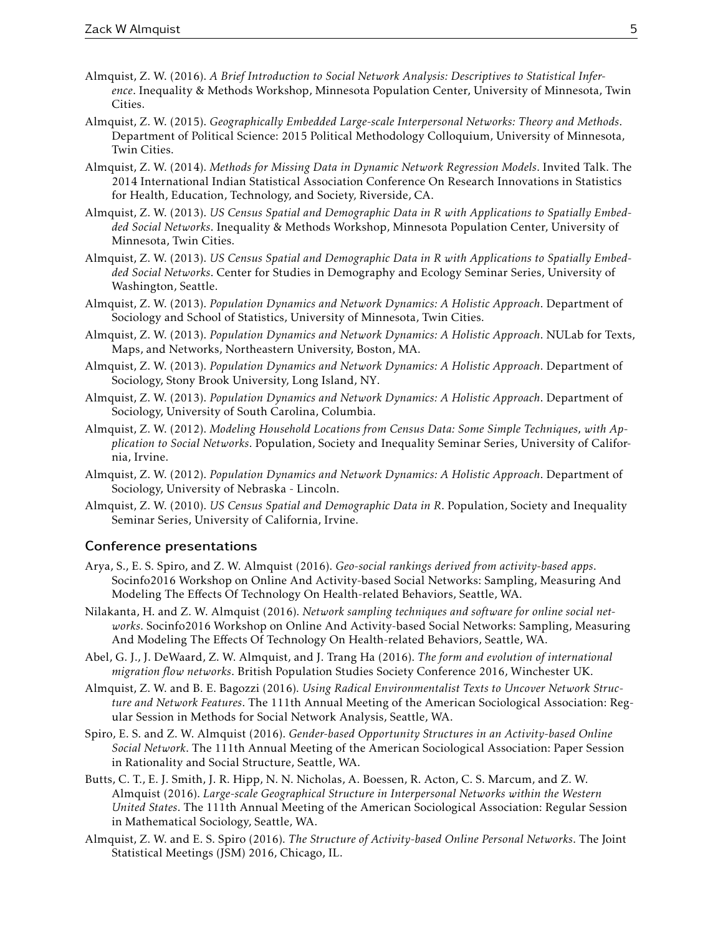- Almquist, Z. W. (2016). *A Brief Introduction to Social Network Analysis: Descriptives to Statistical Inference*. Inequality & Methods Workshop, Minnesota Population Center, University of Minnesota, Twin Cities.
- Almquist, Z. W. (2015). *Geographically Embedded Large-scale Interpersonal Networks: Theory and Methods*. Department of Political Science: 2015 Political Methodology Colloquium, University of Minnesota, Twin Cities.
- Almquist, Z. W. (2014). *Methods for Missing Data in Dynamic Network Regression Models*. Invited Talk. The 2014 International Indian Statistical Association Conference On Research Innovations in Statistics for Health, Education, Technology, and Society, Riverside, CA.
- Almquist, Z. W. (2013). *US Census Spatial and Demographic Data in R with Applications to Spatially Embedded Social Networks*. Inequality & Methods Workshop, Minnesota Population Center, University of Minnesota, Twin Cities.
- Almquist, Z. W. (2013). *US Census Spatial and Demographic Data in R with Applications to Spatially Embedded Social Networks*. Center for Studies in Demography and Ecology Seminar Series, University of Washington, Seattle.
- Almquist, Z. W. (2013). *Population Dynamics and Network Dynamics: A Holistic Approach*. Department of Sociology and School of Statistics, University of Minnesota, Twin Cities.
- Almquist, Z. W. (2013). *Population Dynamics and Network Dynamics: A Holistic Approach*. NULab for Texts, Maps, and Networks, Northeastern University, Boston, MA.
- Almquist, Z. W. (2013). *Population Dynamics and Network Dynamics: A Holistic Approach*. Department of Sociology, Stony Brook University, Long Island, NY.
- Almquist, Z. W. (2013). *Population Dynamics and Network Dynamics: A Holistic Approach*. Department of Sociology, University of South Carolina, Columbia.
- Almquist, Z. W. (2012). *Modeling Household Locations from Census Data: Some Simple Techniques, with Application to Social Networks*. Population, Society and Inequality Seminar Series, University of California, Irvine.
- Almquist, Z. W. (2012). *Population Dynamics and Network Dynamics: A Holistic Approach*. Department of Sociology, University of Nebraska - Lincoln.
- Almquist, Z. W. (2010). *US Census Spatial and Demographic Data in R*. Population, Society and Inequality Seminar Series, University of California, Irvine.

## Conference presentations

- Arya, S., E. S. Spiro, and Z. W. Almquist (2016). *Geo-social rankings derived from activity-based apps*. Socinfo2016 Workshop on Online And Activity-based Social Networks: Sampling, Measuring And Modeling The Effects Of Technology On Health-related Behaviors, Seattle, WA.
- Nilakanta, H. and Z. W. Almquist (2016). *Network sampling techniques and software for online social networks*. Socinfo2016 Workshop on Online And Activity-based Social Networks: Sampling, Measuring And Modeling The Effects Of Technology On Health-related Behaviors, Seattle, WA.
- Abel, G. J., J. DeWaard, Z. W. Almquist, and J. Trang Ha (2016). *The form and evolution of international migration flow networks*. British Population Studies Society Conference 2016, Winchester UK.
- Almquist, Z. W. and B. E. Bagozzi (2016). *Using Radical Environmentalist Texts to Uncover Network Structure and Network Features*. The 111th Annual Meeting of the American Sociological Association: Regular Session in Methods for Social Network Analysis, Seattle, WA.
- Spiro, E. S. and Z. W. Almquist (2016). *Gender-based Opportunity Structures in an Activity-based Online Social Network*. The 111th Annual Meeting of the American Sociological Association: Paper Session in Rationality and Social Structure, Seattle, WA.
- Butts, C. T., E. J. Smith, J. R. Hipp, N. N. Nicholas, A. Boessen, R. Acton, C. S. Marcum, and Z. W. Almquist (2016). *Large-scale Geographical Structure in Interpersonal Networks within the Western United States*. The 111th Annual Meeting of the American Sociological Association: Regular Session in Mathematical Sociology, Seattle, WA.
- Almquist, Z. W. and E. S. Spiro (2016). *The Structure of Activity-based Online Personal Networks*. The Joint Statistical Meetings (JSM) 2016, Chicago, IL.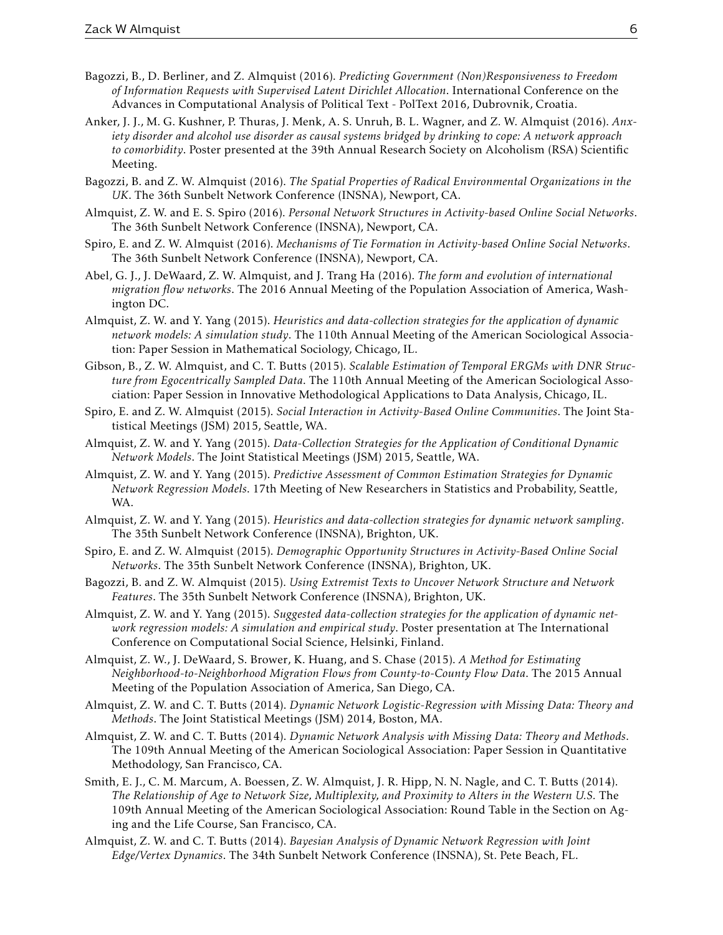- Bagozzi, B., D. Berliner, and Z. Almquist (2016). *Predicting Government (Non)Responsiveness to Freedom of Information Requests with Supervised Latent Dirichlet Allocation*. International Conference on the Advances in Computational Analysis of Political Text - PolText 2016, Dubrovnik, Croatia.
- Anker, J. J., M. G. Kushner, P. Thuras, J. Menk, A. S. Unruh, B. L. Wagner, and Z. W. Almquist (2016). *Anxiety disorder and alcohol use disorder as causal systems bridged by drinking to cope: A network approach to comorbidity*. Poster presented at the 39th Annual Research Society on Alcoholism (RSA) Scientific Meeting.
- Bagozzi, B. and Z. W. Almquist (2016). *The Spatial Properties of Radical Environmental Organizations in the UK*. The 36th Sunbelt Network Conference (INSNA), Newport, CA.
- Almquist, Z. W. and E. S. Spiro (2016). *Personal Network Structures in Activity-based Online Social Networks*. The 36th Sunbelt Network Conference (INSNA), Newport, CA.
- Spiro, E. and Z. W. Almquist (2016). *Mechanisms of Tie Formation in Activity-based Online Social Networks*. The 36th Sunbelt Network Conference (INSNA), Newport, CA.
- Abel, G. J., J. DeWaard, Z. W. Almquist, and J. Trang Ha (2016). *The form and evolution of international migration flow networks*. The 2016 Annual Meeting of the Population Association of America, Washington DC.
- Almquist, Z. W. and Y. Yang (2015). *Heuristics and data-collection strategies for the application of dynamic network models: A simulation study*. The 110th Annual Meeting of the American Sociological Association: Paper Session in Mathematical Sociology, Chicago, IL.
- Gibson, B., Z. W. Almquist, and C. T. Butts (2015). *Scalable Estimation of Temporal ERGMs with DNR Structure from Egocentrically Sampled Data*. The 110th Annual Meeting of the American Sociological Association: Paper Session in Innovative Methodological Applications to Data Analysis, Chicago, IL.
- Spiro, E. and Z. W. Almquist (2015). *Social Interaction in Activity-Based Online Communities*. The Joint Statistical Meetings (JSM) 2015, Seattle, WA.
- Almquist, Z. W. and Y. Yang (2015). *Data-Collection Strategies for the Application of Conditional Dynamic Network Models*. The Joint Statistical Meetings (JSM) 2015, Seattle, WA.
- Almquist, Z. W. and Y. Yang (2015). *Predictive Assessment of Common Estimation Strategies for Dynamic Network Regression Models*. 17th Meeting of New Researchers in Statistics and Probability, Seattle, WA.
- Almquist, Z. W. and Y. Yang (2015). *Heuristics and data-collection strategies for dynamic network sampling*. The 35th Sunbelt Network Conference (INSNA), Brighton, UK.
- Spiro, E. and Z. W. Almquist (2015). *Demographic Opportunity Structures in Activity-Based Online Social Networks*. The 35th Sunbelt Network Conference (INSNA), Brighton, UK.
- Bagozzi, B. and Z. W. Almquist (2015). *Using Extremist Texts to Uncover Network Structure and Network Features*. The 35th Sunbelt Network Conference (INSNA), Brighton, UK.
- Almquist, Z. W. and Y. Yang (2015). *Suggested data-collection strategies for the application of dynamic network regression models: A simulation and empirical study*. Poster presentation at The International Conference on Computational Social Science, Helsinki, Finland.
- Almquist, Z. W., J. DeWaard, S. Brower, K. Huang, and S. Chase (2015). *A Method for Estimating Neighborhood-to-Neighborhood Migration Flows from County-to-County Flow Data*. The 2015 Annual Meeting of the Population Association of America, San Diego, CA.
- Almquist, Z. W. and C. T. Butts (2014). *Dynamic Network Logistic-Regression with Missing Data: Theory and Methods*. The Joint Statistical Meetings (JSM) 2014, Boston, MA.
- Almquist, Z. W. and C. T. Butts (2014). *Dynamic Network Analysis with Missing Data: Theory and Methods*. The 109th Annual Meeting of the American Sociological Association: Paper Session in Quantitative Methodology, San Francisco, CA.
- Smith, E. J., C. M. Marcum, A. Boessen, Z. W. Almquist, J. R. Hipp, N. N. Nagle, and C. T. Butts (2014). *The Relationship of Age to Network Size, Multiplexity, and Proximity to Alters in the Western U.S.* The 109th Annual Meeting of the American Sociological Association: Round Table in the Section on Aging and the Life Course, San Francisco, CA.
- Almquist, Z. W. and C. T. Butts (2014). *Bayesian Analysis of Dynamic Network Regression with Joint Edge/Vertex Dynamics*. The 34th Sunbelt Network Conference (INSNA), St. Pete Beach, FL.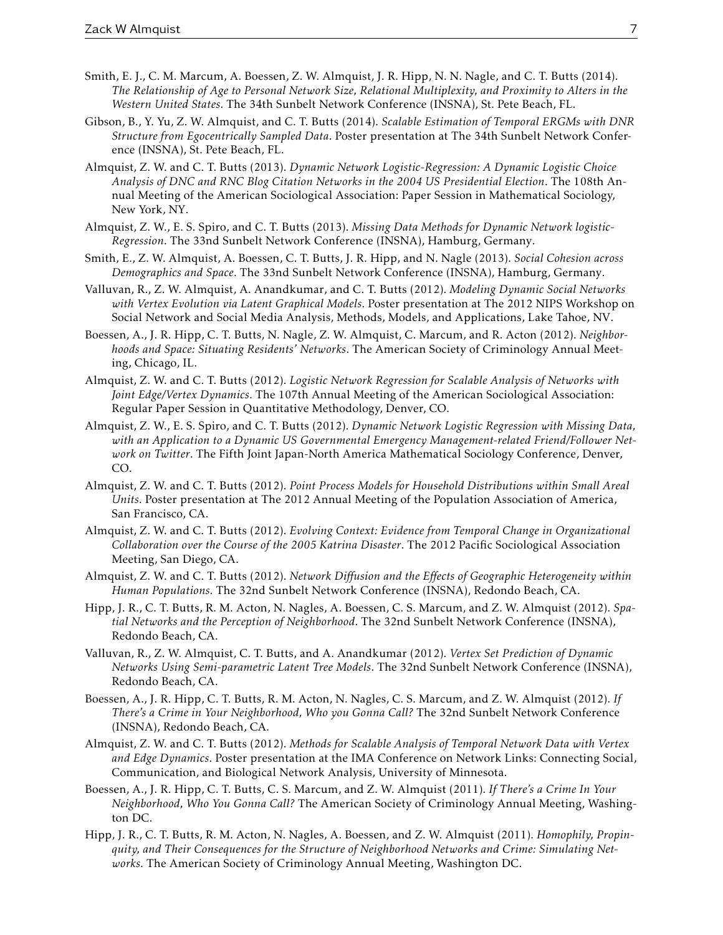- Smith, E. J., C. M. Marcum, A. Boessen, Z. W. Almquist, J. R. Hipp, N. N. Nagle, and C. T. Butts (2014). *The Relationship of Age to Personal Network Size, Relational Multiplexity, and Proximity to Alters in the Western United States*. The 34th Sunbelt Network Conference (INSNA), St. Pete Beach, FL.
- Gibson, B., Y. Yu, Z. W. Almquist, and C. T. Butts (2014). *Scalable Estimation of Temporal ERGMs with DNR Structure from Egocentrically Sampled Data*. Poster presentation at The 34th Sunbelt Network Conference (INSNA), St. Pete Beach, FL.
- Almquist, Z. W. and C. T. Butts (2013). *Dynamic Network Logistic-Regression: A Dynamic Logistic Choice Analysis of DNC and RNC Blog Citation Networks in the 2004 US Presidential Election*. The 108th Annual Meeting of the American Sociological Association: Paper Session in Mathematical Sociology, New York, NY.
- Almquist, Z. W., E. S. Spiro, and C. T. Butts (2013). *Missing Data Methods for Dynamic Network logistic-Regression*. The 33nd Sunbelt Network Conference (INSNA), Hamburg, Germany.
- Smith, E., Z. W. Almquist, A. Boessen, C. T. Butts, J. R. Hipp, and N. Nagle (2013). *Social Cohesion across Demographics and Space*. The 33nd Sunbelt Network Conference (INSNA), Hamburg, Germany.
- Valluvan, R., Z. W. Almquist, A. Anandkumar, and C. T. Butts (2012). *Modeling Dynamic Social Networks with Vertex Evolution via Latent Graphical Models*. Poster presentation at The 2012 NIPS Workshop on Social Network and Social Media Analysis, Methods, Models, and Applications, Lake Tahoe, NV.
- Boessen, A., J. R. Hipp, C. T. Butts, N. Nagle, Z. W. Almquist, C. Marcum, and R. Acton (2012). *Neighborhoods and Space: Situating Residents' Networks*. The American Society of Criminology Annual Meeting, Chicago, IL.
- Almquist, Z. W. and C. T. Butts (2012). *Logistic Network Regression for Scalable Analysis of Networks with Joint Edge/Vertex Dynamics*. The 107th Annual Meeting of the American Sociological Association: Regular Paper Session in Quantitative Methodology, Denver, CO.
- Almquist, Z. W., E. S. Spiro, and C. T. Butts (2012). *Dynamic Network Logistic Regression with Missing Data, with an Application to a Dynamic US Governmental Emergency Management-related Friend/Follower Network on Twitter*. The Fifth Joint Japan-North America Mathematical Sociology Conference, Denver, CO.
- Almquist, Z. W. and C. T. Butts (2012). *Point Process Models for Household Distributions within Small Areal Units*. Poster presentation at The 2012 Annual Meeting of the Population Association of America, San Francisco, CA.
- Almquist, Z. W. and C. T. Butts (2012). *Evolving Context: Evidence from Temporal Change in Organizational Collaboration over the Course of the 2005 Katrina Disaster*. The 2012 Pacific Sociological Association Meeting, San Diego, CA.
- Almquist, Z. W. and C. T. Butts (2012). *Network Diffusion and the Effects of Geographic Heterogeneity within Human Populations.* The 32nd Sunbelt Network Conference (INSNA), Redondo Beach, CA.
- Hipp, J. R., C. T. Butts, R. M. Acton, N. Nagles, A. Boessen, C. S. Marcum, and Z. W. Almquist (2012). *Spatial Networks and the Perception of Neighborhood*. The 32nd Sunbelt Network Conference (INSNA), Redondo Beach, CA.
- Valluvan, R., Z. W. Almquist, C. T. Butts, and A. Anandkumar (2012). *Vertex Set Prediction of Dynamic Networks Using Semi-parametric Latent Tree Models*. The 32nd Sunbelt Network Conference (INSNA), Redondo Beach, CA.
- Boessen, A., J. R. Hipp, C. T. Butts, R. M. Acton, N. Nagles, C. S. Marcum, and Z. W. Almquist (2012). *If There's a Crime in Your Neighborhood, Who you Gonna Call?* The 32nd Sunbelt Network Conference (INSNA), Redondo Beach, CA.
- Almquist, Z. W. and C. T. Butts (2012). *Methods for Scalable Analysis of Temporal Network Data with Vertex and Edge Dynamics*. Poster presentation at the IMA Conference on Network Links: Connecting Social, Communication, and Biological Network Analysis, University of Minnesota.
- Boessen, A., J. R. Hipp, C. T. Butts, C. S. Marcum, and Z. W. Almquist (2011). *If There's a Crime In Your Neighborhood, Who You Gonna Call?* The American Society of Criminology Annual Meeting, Washington DC.
- Hipp, J. R., C. T. Butts, R. M. Acton, N. Nagles, A. Boessen, and Z. W. Almquist (2011). *Homophily, Propinquity, and Their Consequences for the Structure of Neighborhood Networks and Crime: Simulating Networks*. The American Society of Criminology Annual Meeting, Washington DC.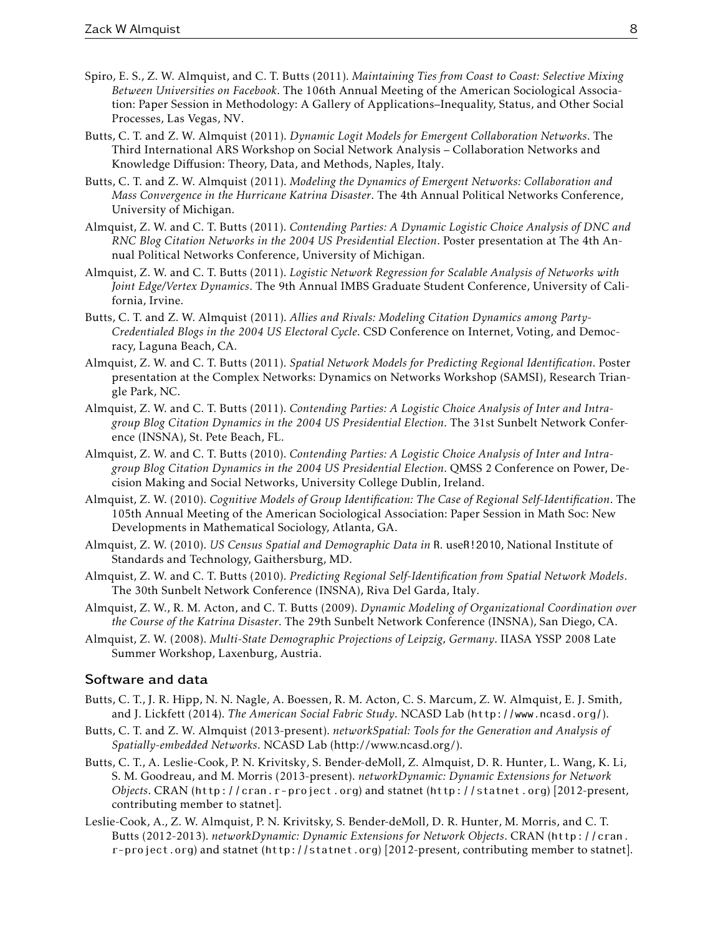- Spiro, E. S., Z. W. Almquist, and C. T. Butts (2011). *Maintaining Ties from Coast to Coast: Selective Mixing Between Universities on Facebook*. The 106th Annual Meeting of the American Sociological Association: Paper Session in Methodology: A Gallery of Applications–Inequality, Status, and Other Social Processes, Las Vegas, NV.
- Butts, C. T. and Z. W. Almquist (2011). *Dynamic Logit Models for Emergent Collaboration Networks*. The Third International ARS Workshop on Social Network Analysis – Collaboration Networks and Knowledge Diffusion: Theory, Data, and Methods, Naples, Italy.
- Butts, C. T. and Z. W. Almquist (2011). *Modeling the Dynamics of Emergent Networks: Collaboration and Mass Convergence in the Hurricane Katrina Disaster*. The 4th Annual Political Networks Conference, University of Michigan.
- Almquist, Z. W. and C. T. Butts (2011). *Contending Parties: A Dynamic Logistic Choice Analysis of DNC and RNC Blog Citation Networks in the 2004 US Presidential Election*. Poster presentation at The 4th Annual Political Networks Conference, University of Michigan.
- Almquist, Z. W. and C. T. Butts (2011). *Logistic Network Regression for Scalable Analysis of Networks with Joint Edge/Vertex Dynamics*. The 9th Annual IMBS Graduate Student Conference, University of California, Irvine.
- Butts, C. T. and Z. W. Almquist (2011). *Allies and Rivals: Modeling Citation Dynamics among Party-Credentialed Blogs in the 2004 US Electoral Cycle*. CSD Conference on Internet, Voting, and Democracy, Laguna Beach, CA.
- Almquist, Z. W. and C. T. Butts (2011). *Spatial Network Models for Predicting Regional Identification*. Poster presentation at the Complex Networks: Dynamics on Networks Workshop (SAMSI), Research Triangle Park, NC.
- Almquist, Z. W. and C. T. Butts (2011). *Contending Parties: A Logistic Choice Analysis of Inter and Intragroup Blog Citation Dynamics in the 2004 US Presidential Election*. The 31st Sunbelt Network Conference (INSNA), St. Pete Beach, FL.
- Almquist, Z. W. and C. T. Butts (2010). *Contending Parties: A Logistic Choice Analysis of Inter and Intragroup Blog Citation Dynamics in the 2004 US Presidential Election*. QMSS 2 Conference on Power, Decision Making and Social Networks, University College Dublin, Ireland.
- Almquist, Z. W. (2010). *Cognitive Models of Group Identification: The Case of Regional Self-Identification*. The 105th Annual Meeting of the American Sociological Association: Paper Session in Math Soc: New Developments in Mathematical Sociology, Atlanta, GA.
- Almquist, Z. W. (2010). *US Census Spatial and Demographic Data in* R. useR!2010, National Institute of Standards and Technology, Gaithersburg, MD.
- Almquist, Z. W. and C. T. Butts (2010). *Predicting Regional Self-Identification from Spatial Network Models*. The 30th Sunbelt Network Conference (INSNA), Riva Del Garda, Italy.
- Almquist, Z. W., R. M. Acton, and C. T. Butts (2009). *Dynamic Modeling of Organizational Coordination over the Course of the Katrina Disaster*. The 29th Sunbelt Network Conference (INSNA), San Diego, CA.
- Almquist, Z. W. (2008). *Multi-State Demographic Projections of Leipzig, Germany*. IIASA YSSP 2008 Late Summer Workshop, Laxenburg, Austria.

## Software and data

- Butts, C. T., J. R. Hipp, N. N. Nagle, A. Boessen, R. M. Acton, C. S. Marcum, Z. W. Almquist, E. J. Smith, and J. Lickfett (2014). *The American Social Fabric Study*. NCASD Lab (<http://www.ncasd.org/>).
- Butts, C. T. and Z. W. Almquist (2013-present). *networkSpatial: Tools for the Generation and Analysis of Spatially-embedded Networks*. NCASD Lab (http://www.ncasd.org/).
- Butts, C. T., A. Leslie-Cook, P. N. Krivitsky, S. Bender-deMoll, Z. Almquist, D. R. Hunter, L. Wang, K. Li, S. M. Goodreau, and M. Morris (2013-present). *networkDynamic: Dynamic Extensions for Network Objects*. CRAN ([http://cran.r- project.org](http://cran.r-project.org)) and statnet (<http://statnet.org>) [2012-present, contributing member to statnet].
- Leslie-Cook, A., Z. W. Almquist, P. N. Krivitsky, S. Bender-deMoll, D. R. Hunter, M. Morris, and C. T. Butts (2012-2013). *networkDynamic: Dynamic Extensions for Network Objects*. CRAN ([http://cran.](http://cran.r-project.org) [r-project.org](http://cran.r-project.org)) and statnet (<http://statnet.org>) [2012-present, contributing member to statnet].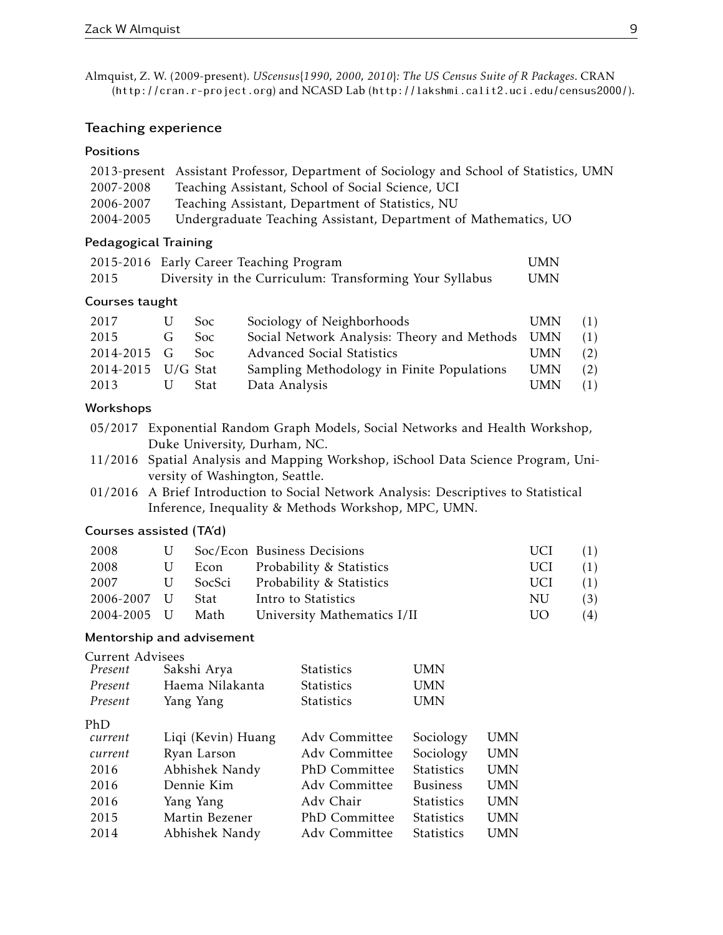Almquist, Z. W. (2009-present). *UScensus*{*1990, 2000, 2010*}*: The US Census Suite of R Packages*. CRAN (<http://cran.r-project.org>) and NCASD Lab (<http://lakshmi.calit2.uci.edu/census2000/>).

## Teaching experience

## **Positions**

|           | 2013-present Assistant Professor, Department of Sociology and School of Statistics, UMN |
|-----------|-----------------------------------------------------------------------------------------|
| 2007-2008 | Teaching Assistant, School of Social Science, UCI                                       |
| 2006-2007 | Teaching Assistant, Department of Statistics, NU                                        |
| 2004-2005 | Undergraduate Teaching Assistant, Department of Mathematics, UO                         |

## Pedagogical Training

|      | 2015-2016 Early Career Teaching Program                 | UMN |
|------|---------------------------------------------------------|-----|
| 2015 | Diversity in the Curriculum: Transforming Your Syllabus | UMN |

## Courses taught

| 2017               |              | <b>Soc</b> | Sociology of Neighborhoods                      | UMN        | (1) |
|--------------------|--------------|------------|-------------------------------------------------|------------|-----|
| 2015               | $\mathsf{G}$ | <b>Soc</b> | Social Network Analysis: Theory and Methods UMN |            | (1) |
| 2014-2015 G        |              | - Soc      | <b>Advanced Social Statistics</b>               | <b>UMN</b> | (2) |
| 2014-2015 U/G Stat |              |            | Sampling Methodology in Finite Populations      | <b>UMN</b> | (2) |
| 2013               |              | Stat       | Data Analysis                                   | <b>UMN</b> | (1) |

# Workshops

- 05/2017 Exponential Random Graph Models, Social Networks and Health Workshop, Duke University, Durham, NC.
- 11/2016 Spatial Analysis and Mapping Workshop, iSchool Data Science Program, University of Washington, Seattle.
- 01/2016 A Brief Introduction to Social Network Analysis: Descriptives to Statistical Inference, Inequality & Methods Workshop, MPC, UMN.

## Courses assisted (TA'd)

| 2008             |   |        | U Soc/Econ Business Decisions | UCI. | (1) |
|------------------|---|--------|-------------------------------|------|-----|
| 2008             | U | Econ   | Probability & Statistics      | UCI. | (1) |
| 2007             | U | SocSci | Probability & Statistics      | UCI. | (1) |
| 2006-2007 U      |   | – Stat | Intro to Statistics           | NU.  | (3) |
| 2004-2005 U Math |   |        | University Mathematics I/II   | UO.  | (4) |

## Mentorship and advisement

| Current Advisees |                    |                   |                   |            |
|------------------|--------------------|-------------------|-------------------|------------|
| Present          | Sakshi Arya        | <b>Statistics</b> | UMN               |            |
| Present          | Haema Nilakanta    | Statistics        | UMN               |            |
| Present          | Yang Yang          | <b>Statistics</b> | UMN               |            |
| PhD              |                    |                   |                   |            |
| current          | Liqi (Kevin) Huang | Adv Committee     | Sociology         | UMN        |
| current          | Ryan Larson        | Adv Committee     | Sociology         | <b>UMN</b> |
| 2016             | Abhishek Nandy     | PhD Committee     | <b>Statistics</b> | <b>UMN</b> |
| 2016             | Dennie Kim         | Ady Committee     | <b>Business</b>   | <b>UMN</b> |
| 2016             | Yang Yang          | Adv Chair         | <b>Statistics</b> | <b>UMN</b> |
| 2015             | Martin Bezener     | PhD Committee     | <b>Statistics</b> | UMN        |
| 2014             | Abhishek Nandy     | Adv Committee     | <b>Statistics</b> | UMN        |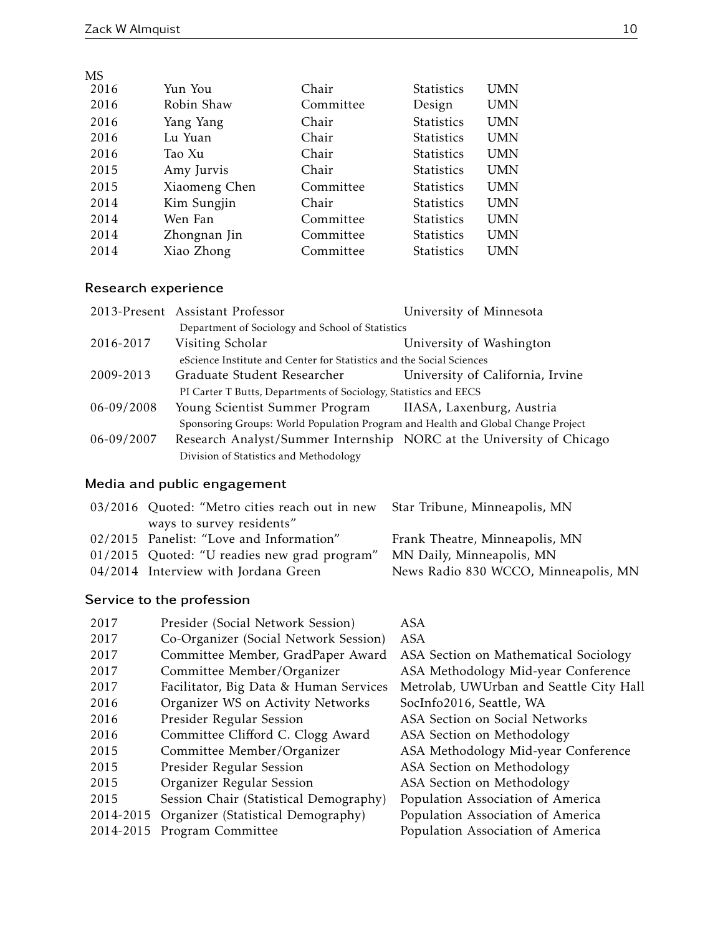| <b>MS</b> |               |           |                   |            |
|-----------|---------------|-----------|-------------------|------------|
| 2016      | Yun You       | Chair     | <b>Statistics</b> | <b>UMN</b> |
| 2016      | Robin Shaw    | Committee | Design            | <b>UMN</b> |
| 2016      | Yang Yang     | Chair     | <b>Statistics</b> | <b>UMN</b> |
| 2016      | Lu Yuan       | Chair     | <b>Statistics</b> | <b>UMN</b> |
| 2016      | Tao Xu        | Chair     | <b>Statistics</b> | <b>UMN</b> |
| 2015      | Amy Jurvis    | Chair     | <b>Statistics</b> | <b>UMN</b> |
| 2015      | Xiaomeng Chen | Committee | <b>Statistics</b> | <b>UMN</b> |
| 2014      | Kim Sungjin   | Chair     | <b>Statistics</b> | <b>UMN</b> |
| 2014      | Wen Fan       | Committee | <b>Statistics</b> | <b>UMN</b> |
| 2014      | Zhongnan Jin  | Committee | <b>Statistics</b> | <b>UMN</b> |
| 2014      | Xiao Zhong    | Committee | <b>Statistics</b> | <b>UMN</b> |

# Research experience

|                | 2013-Present Assistant Professor                                                 | University of Minnesota          |
|----------------|----------------------------------------------------------------------------------|----------------------------------|
|                | Department of Sociology and School of Statistics                                 |                                  |
| 2016-2017      | Visiting Scholar                                                                 | University of Washington         |
|                | eScience Institute and Center for Statistics and the Social Sciences             |                                  |
| 2009-2013      | Graduate Student Researcher                                                      | University of California, Irvine |
|                | PI Carter T Butts, Departments of Sociology, Statistics and EECS                 |                                  |
| $06 - 09/2008$ | Young Scientist Summer Program IIASA, Laxenburg, Austria                         |                                  |
|                | Sponsoring Groups: World Population Program and Health and Global Change Project |                                  |
| 06-09/2007     | Research Analyst/Summer Internship NORC at the University of Chicago             |                                  |
|                | Division of Statistics and Methodology                                           |                                  |

# Media and public engagement

| 03/2016 Quoted: "Metro cities reach out in new Star Tribune, Minneapolis, MN |                                      |
|------------------------------------------------------------------------------|--------------------------------------|
| ways to survey residents"                                                    |                                      |
| 02/2015 Panelist: "Love and Information"                                     | Frank Theatre, Minneapolis, MN       |
| 01/2015 Quoted: "U readies new grad program"                                 | MN Daily, Minneapolis, MN            |
| 04/2014 Interview with Jordana Green                                         | News Radio 830 WCCO, Minneapolis, MN |
|                                                                              |                                      |

# Service to the profession

| 2017      | Presider (Social Network Session)      | <b>ASA</b>                              |
|-----------|----------------------------------------|-----------------------------------------|
| 2017      | Co-Organizer (Social Network Session)  | ASA                                     |
| 2017      | Committee Member, GradPaper Award      | ASA Section on Mathematical Sociology   |
| 2017      | Committee Member/Organizer             | ASA Methodology Mid-year Conference     |
| 2017      | Facilitator, Big Data & Human Services | Metrolab, UWUrban and Seattle City Hall |
| 2016      | Organizer WS on Activity Networks      | SocInfo2016, Seattle, WA                |
| 2016      | Presider Regular Session               | ASA Section on Social Networks          |
| 2016      | Committee Clifford C. Clogg Award      | ASA Section on Methodology              |
| 2015      | Committee Member/Organizer             | ASA Methodology Mid-year Conference     |
| 2015      | Presider Regular Session               | ASA Section on Methodology              |
| 2015      | Organizer Regular Session              | ASA Section on Methodology              |
| 2015      | Session Chair (Statistical Demography) | Population Association of America       |
| 2014-2015 | Organizer (Statistical Demography)     | Population Association of America       |
| 2014-2015 | Program Committee                      | Population Association of America       |
|           |                                        |                                         |